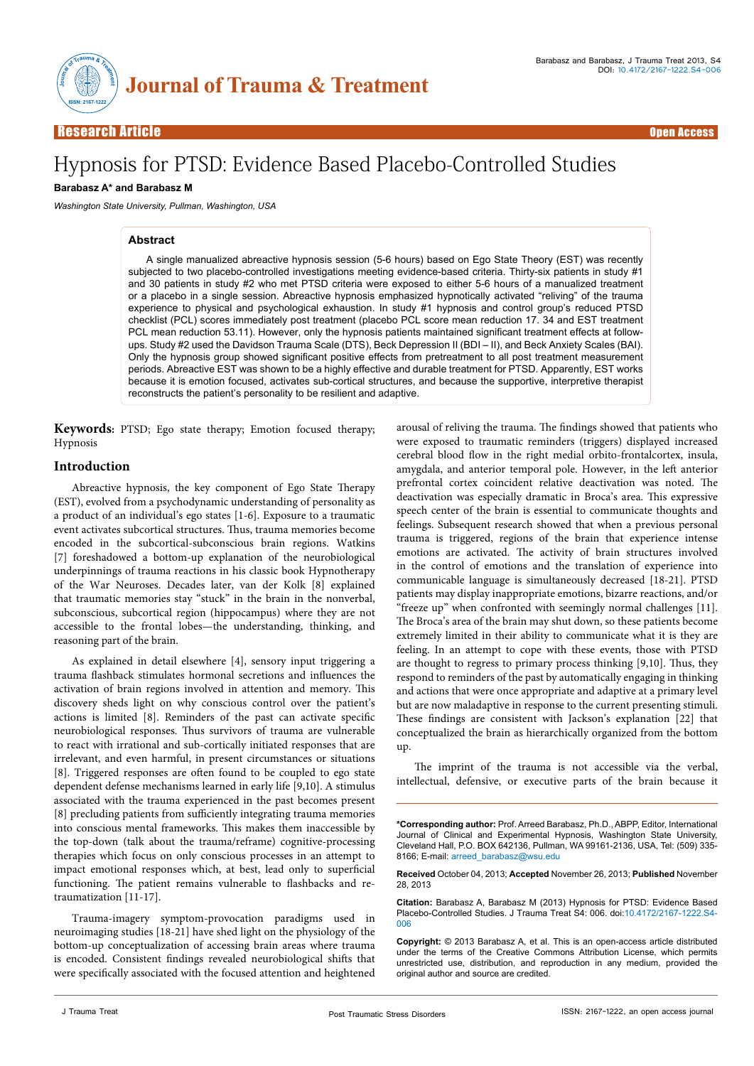

Open Access Open Access

# Hypnosis for PTSD: Evidence Based Placebo-Controlled Studies

## **Barabasz A\* and Barabasz M**

*Washington State University, Pullman, Washington, USA*

## **Abstract**

A single manualized abreactive hypnosis session (5-6 hours) based on Ego State Theory (EST) was recently subjected to two placebo-controlled investigations meeting evidence-based criteria. Thirty-six patients in study #1 and 30 patients in study #2 who met PTSD criteria were exposed to either 5-6 hours of a manualized treatment or a placebo in a single session. Abreactive hypnosis emphasized hypnotically activated "reliving" of the trauma experience to physical and psychological exhaustion. In study #1 hypnosis and control group's reduced PTSD checklist (PCL) scores immediately post treatment (placebo PCL score mean reduction 17. 34 and EST treatment PCL mean reduction 53.11). However, only the hypnosis patients maintained significant treatment effects at followups. Study #2 used the Davidson Trauma Scale (DTS), Beck Depression II (BDI – II), and Beck Anxiety Scales (BAI). Only the hypnosis group showed significant positive effects from pretreatment to all post treatment measurement periods. Abreactive EST was shown to be a highly effective and durable treatment for PTSD. Apparently, EST works because it is emotion focused, activates sub-cortical structures, and because the supportive, interpretive therapist reconstructs the patient's personality to be resilient and adaptive.

**Keywords:** PTSD; Ego state therapy; Emotion focused therapy; Hypnosis

## **Introduction**

Abreactive hypnosis, the key component of Ego State Therapy (EST), evolved from a psychodynamic understanding of personality as a product of an individual's ego states [1-6]. Exposure to a traumatic event activates subcortical structures. Thus, trauma memories become encoded in the subcortical-subconscious brain regions. Watkins [7] foreshadowed a bottom-up explanation of the neurobiological underpinnings of trauma reactions in his classic book Hypnotherapy of the War Neuroses. Decades later, van der Kolk [8] explained that traumatic memories stay "stuck" in the brain in the nonverbal, subconscious, subcortical region (hippocampus) where they are not accessible to the frontal lobes—the understanding, thinking, and reasoning part of the brain.

As explained in detail elsewhere [4], sensory input triggering a trauma flashback stimulates hormonal secretions and influences the activation of brain regions involved in attention and memory. This discovery sheds light on why conscious control over the patient's actions is limited [8]. Reminders of the past can activate specific neurobiological responses. Thus survivors of trauma are vulnerable to react with irrational and sub-cortically initiated responses that are irrelevant, and even harmful, in present circumstances or situations [8]. Triggered responses are often found to be coupled to ego state dependent defense mechanisms learned in early life [9,10]. A stimulus associated with the trauma experienced in the past becomes present [8] precluding patients from sufficiently integrating trauma memories into conscious mental frameworks. This makes them inaccessible by the top-down (talk about the trauma/reframe) cognitive-processing therapies which focus on only conscious processes in an attempt to impact emotional responses which, at best, lead only to superficial functioning. The patient remains vulnerable to flashbacks and retraumatization [11-17].

Trauma-imagery symptom-provocation paradigms used in neuroimaging studies [18-21] have shed light on the physiology of the bottom-up conceptualization of accessing brain areas where trauma is encoded. Consistent findings revealed neurobiological shifts that were specifically associated with the focused attention and heightened arousal of reliving the trauma. The findings showed that patients who were exposed to traumatic reminders (triggers) displayed increased cerebral blood flow in the right medial orbito-frontalcortex, insula, amygdala, and anterior temporal pole. However, in the left anterior prefrontal cortex coincident relative deactivation was noted. The deactivation was especially dramatic in Broca's area. This expressive speech center of the brain is essential to communicate thoughts and feelings. Subsequent research showed that when a previous personal trauma is triggered, regions of the brain that experience intense emotions are activated. The activity of brain structures involved in the control of emotions and the translation of experience into communicable language is simultaneously decreased [18-21]. PTSD patients may display inappropriate emotions, bizarre reactions, and/or "freeze up" when confronted with seemingly normal challenges [11]. The Broca's area of the brain may shut down, so these patients become extremely limited in their ability to communicate what it is they are feeling. In an attempt to cope with these events, those with PTSD are thought to regress to primary process thinking [9,10]. Thus, they respond to reminders of the past by automatically engaging in thinking and actions that were once appropriate and adaptive at a primary level but are now maladaptive in response to the current presenting stimuli. These findings are consistent with Jackson's explanation [22] that conceptualized the brain as hierarchically organized from the bottom up.

The imprint of the trauma is not accessible via the verbal, intellectual, defensive, or executive parts of the brain because it

**Received** October 04, 2013; **Accepted** November 26, 2013; **Published** November 28, 2013

**Citation:** Barabasz A, Barabasz M (2013) Hypnosis for PTSD: Evidence Based Placebo-Controlled Studies. J Trauma Treat S4: 006. doi:10.4172/2167-1222.S4- 006

**Copyright:** © 2013 Barabasz A, et al. This is an open-access article distributed under the terms of the Creative Commons Attribution License, which permits unrestricted use, distribution, and reproduction in any medium, provided the original author and source are credited.

**<sup>\*</sup>Corresponding author:** Prof. Arreed Barabasz, Ph.D., ABPP, Editor, International Journal of Clinical and Experimental Hypnosis, Washington State University, Cleveland Hall, P.O. BOX 642136, Pullman, WA 99161-2136, USA, Tel: (509) 335- 8166; E-mail: arreed barabasz@wsu.edu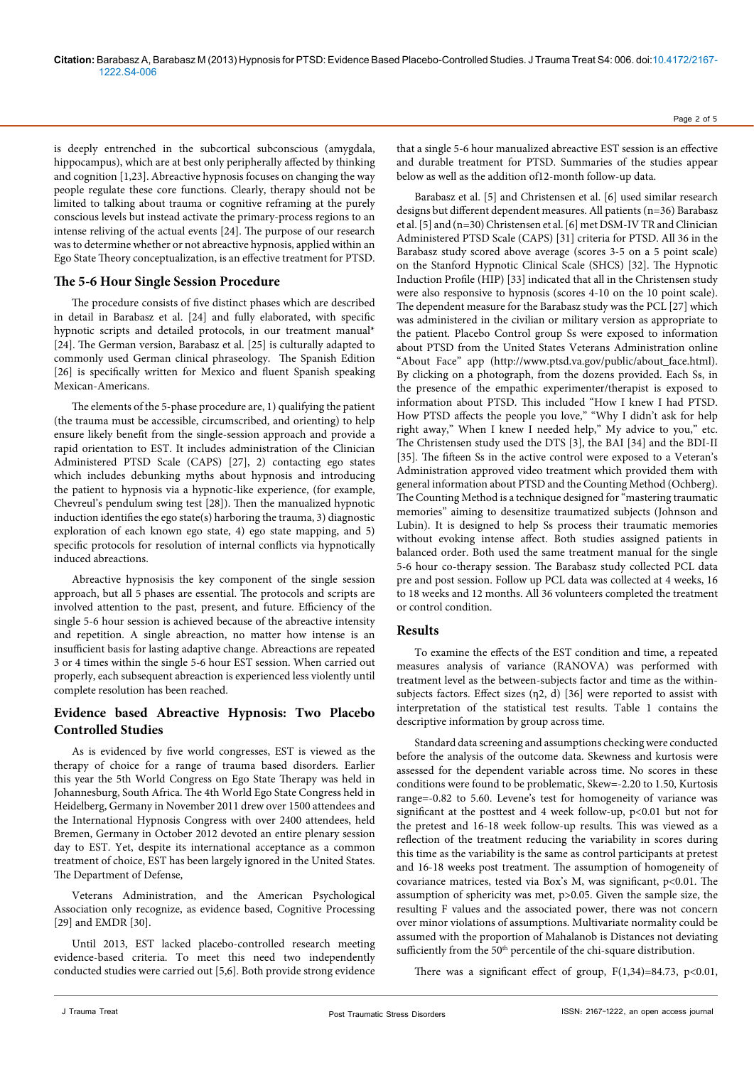is deeply entrenched in the subcortical subconscious (amygdala, hippocampus), which are at best only peripherally affected by thinking and cognition [1,23]. Abreactive hypnosis focuses on changing the way people regulate these core functions. Clearly, therapy should not be limited to talking about trauma or cognitive reframing at the purely conscious levels but instead activate the primary-process regions to an intense reliving of the actual events [24]. The purpose of our research was to determine whether or not abreactive hypnosis, applied within an Ego State Theory conceptualization, is an effective treatment for PTSD.

# **The 5-6 Hour Single Session Procedure**

The procedure consists of five distinct phases which are described in detail in Barabasz et al. [24] and fully elaborated, with specific hypnotic scripts and detailed protocols, in our treatment manual\* [24]. The German version, Barabasz et al. [25] is culturally adapted to commonly used German clinical phraseology. The Spanish Edition [26] is specifically written for Mexico and fluent Spanish speaking Mexican-Americans.

The elements of the 5-phase procedure are, 1) qualifying the patient (the trauma must be accessible, circumscribed, and orienting) to help ensure likely benefit from the single-session approach and provide a rapid orientation to EST. It includes administration of the Clinician Administered PTSD Scale (CAPS) [27], 2) contacting ego states which includes debunking myths about hypnosis and introducing the patient to hypnosis via a hypnotic-like experience, (for example, Chevreul's pendulum swing test [28]). Then the manualized hypnotic induction identifies the ego state(s) harboring the trauma, 3) diagnostic exploration of each known ego state, 4) ego state mapping, and 5) specific protocols for resolution of internal conflicts via hypnotically induced abreactions.

Abreactive hypnosisis the key component of the single session approach, but all 5 phases are essential. The protocols and scripts are involved attention to the past, present, and future. Efficiency of the single 5-6 hour session is achieved because of the abreactive intensity and repetition. A single abreaction, no matter how intense is an insufficient basis for lasting adaptive change. Abreactions are repeated 3 or 4 times within the single 5-6 hour EST session. When carried out properly, each subsequent abreaction is experienced less violently until complete resolution has been reached.

# **Evidence based Abreactive Hypnosis: Two Placebo Controlled Studies**

As is evidenced by five world congresses, EST is viewed as the therapy of choice for a range of trauma based disorders. Earlier this year the 5th World Congress on Ego State Therapy was held in Johannesburg, South Africa. The 4th World Ego State Congress held in Heidelberg, Germany in November 2011 drew over 1500 attendees and the International Hypnosis Congress with over 2400 attendees, held Bremen, Germany in October 2012 devoted an entire plenary session day to EST. Yet, despite its international acceptance as a common treatment of choice, EST has been largely ignored in the United States. The Department of Defense,

Veterans Administration, and the American Psychological Association only recognize, as evidence based, Cognitive Processing [29] and EMDR [30].

Until 2013, EST lacked placebo-controlled research meeting evidence-based criteria. To meet this need two independently conducted studies were carried out [5,6]. Both provide strong evidence

that a single 5-6 hour manualized abreactive EST session is an effective and durable treatment for PTSD. Summaries of the studies appear below as well as the addition of12-month follow-up data.

Barabasz et al. [5] and Christensen et al. [6] used similar research designs but different dependent measures. All patients (n=36) Barabasz et al. [5] and (n=30) Christensen et al. [6] met DSM-IV TR and Clinician Administered PTSD Scale (CAPS) [31] criteria for PTSD. All 36 in the Barabasz study scored above average (scores 3-5 on a 5 point scale) on the Stanford Hypnotic Clinical Scale (SHCS) [32]. The Hypnotic Induction Profile (HIP) [33] indicated that all in the Christensen study were also responsive to hypnosis (scores 4-10 on the 10 point scale). The dependent measure for the Barabasz study was the PCL [27] which was administered in the civilian or military version as appropriate to the patient. Placebo Control group Ss were exposed to information about PTSD from the United States Veterans Administration online "About Face" app [\(http://www.ptsd.va.gov/public/about\\_face.html\)](http://www.ptsd.va.gov/public/about_face.html). By clicking on a photograph, from the dozens provided. Each Ss, in the presence of the empathic experimenter/therapist is exposed to information about PTSD. This included "How I knew I had PTSD. How PTSD affects the people you love," "Why I didn't ask for help right away," When I knew I needed help," My advice to you," etc. The Christensen study used the DTS [3], the BAI [34] and the BDI-II [35]. The fifteen Ss in the active control were exposed to a Veteran's Administration approved video treatment which provided them with general information about PTSD and the Counting Method (Ochberg). The Counting Method is a technique designed for "mastering traumatic memories" aiming to desensitize traumatized subjects (Johnson and Lubin). It is designed to help Ss process their traumatic memories without evoking intense affect. Both studies assigned patients in balanced order. Both used the same treatment manual for the single 5-6 hour co-therapy session. The Barabasz study collected PCL data pre and post session. Follow up PCL data was collected at 4 weeks, 16 to 18 weeks and 12 months. All 36 volunteers completed the treatment or control condition.

## **Results**

To examine the effects of the EST condition and time, a repeated measures analysis of variance (RANOVA) was performed with treatment level as the between-subjects factor and time as the withinsubjects factors. Effect sizes (η2, d) [36] were reported to assist with interpretation of the statistical test results. Table 1 contains the descriptive information by group across time.

Standard data screening and assumptions checking were conducted before the analysis of the outcome data. Skewness and kurtosis were assessed for the dependent variable across time. No scores in these conditions were found to be problematic, Skew=-2.20 to 1.50, Kurtosis range=-0.82 to 5.60. Levene's test for homogeneity of variance was significant at the posttest and 4 week follow-up,  $p<0.01$  but not for the pretest and 16-18 week follow-up results. This was viewed as a reflection of the treatment reducing the variability in scores during this time as the variability is the same as control participants at pretest and 16-18 weeks post treatment. The assumption of homogeneity of covariance matrices, tested via Box's M, was significant, p<0.01. The assumption of sphericity was met, p>0.05. Given the sample size, the resulting F values and the associated power, there was not concern over minor violations of assumptions. Multivariate normality could be assumed with the proportion of Mahalanob is Distances not deviating sufficiently from the 50<sup>th</sup> percentile of the chi-square distribution.

There was a significant effect of group,  $F(1,34)=84.73$ ,  $p<0.01$ ,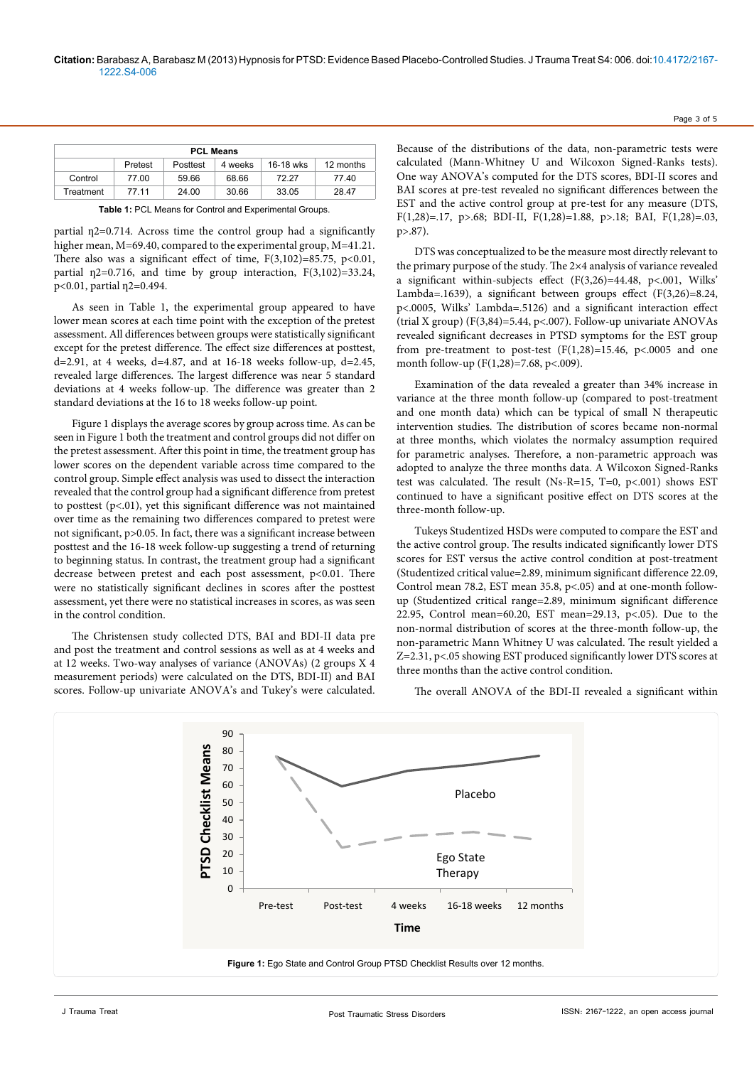| <b>PCL Means</b> |         |          |         |           |           |
|------------------|---------|----------|---------|-----------|-----------|
|                  | Pretest | Posttest | 4 weeks | 16-18 wks | 12 months |
| Control          | 77.00   | 59.66    | 68.66   | 72.27     | 77.40     |
| Treatment        | 77 11   | 24.00    | 30.66   | 33.05     | 28.47     |

**Table 1:** PCL Means for Control and Experimental Groups.

partial  $n2=0.714$ . Across time the control group had a significantly higher mean, M=69.40, compared to the experimental group, M=41.21. There also was a significant effect of time,  $F(3,102)=85.75$ ,  $p<0.01$ , partial  $\eta$ 2=0.716, and time by group interaction, F(3,102)=33.24, p<0.01, partial  $n2=0.494$ .

As seen in Table 1, the experimental group appeared to have lower mean scores at each time point with the exception of the pretest assessment. All differences between groups were statistically significant except for the pretest difference. The effect size differences at posttest, d=2.91, at 4 weeks, d=4.87, and at 16-18 weeks follow-up, d=2.45, revealed large differences. The largest difference was near 5 standard deviations at 4 weeks follow-up. The difference was greater than 2 standard deviations at the 16 to 18 weeks follow-up point.

Figure 1 displays the average scores by group across time. As can be seen in Figure 1 both the treatment and control groups did not differ on the pretest assessment. After this point in time, the treatment group has lower scores on the dependent variable across time compared to the control group. Simple effect analysis was used to dissect the interaction revealed that the control group had a significant difference from pretest to posttest (p<.01), yet this significant difference was not maintained over time as the remaining two differences compared to pretest were not significant, p>0.05. In fact, there was a significant increase between posttest and the 16-18 week follow-up suggesting a trend of returning to beginning status. In contrast, the treatment group had a significant decrease between pretest and each post assessment, p<0.01. There were no statistically significant declines in scores after the posttest assessment, yet there were no statistical increases in scores, as was seen in the control condition.

The Christensen study collected DTS, BAI and BDI-II data pre and post the treatment and control sessions as well as at 4 weeks and at 12 weeks. Two-way analyses of variance (ANOVAs) (2 groups X 4 measurement periods) were calculated on the DTS, BDI-II) and BAI scores. Follow-up univariate ANOVA's and Tukey's were calculated.

Because of the distributions of the data, non-parametric tests were calculated (Mann-Whitney U and Wilcoxon Signed-Ranks tests). One way ANOVA's computed for the DTS scores, BDI-II scores and BAI scores at pre-test revealed no significant differences between the EST and the active control group at pre-test for any measure (DTS, F(1,28)=.17, p>.68; BDI-II, F(1,28)=1.88, p>.18; BAI, F(1,28)=.03, p>.87).

Page 3 of 5

DTS was conceptualized to be the measure most directly relevant to the primary purpose of the study. The 2×4 analysis of variance revealed a significant within-subjects effect  $(F(3,26)=44.48, p<.001,$  Wilks' Lambda=.1639), a significant between groups effect (F(3,26)=8.24, p<.0005, Wilks' Lambda=.5126) and a significant interaction effect (trial X group) (F(3,84)=5.44, p<.007). Follow-up univariate ANOVAs revealed significant decreases in PTSD symptoms for the EST group from pre-treatment to post-test  $(F(1,28)=15.46, p<.0005$  and one month follow-up (F(1,28)=7.68, p<.009).

Examination of the data revealed a greater than 34% increase in variance at the three month follow-up (compared to post-treatment and one month data) which can be typical of small N therapeutic intervention studies. The distribution of scores became non-normal at three months, which violates the normalcy assumption required for parametric analyses. Therefore, a non-parametric approach was adopted to analyze the three months data. A Wilcoxon Signed-Ranks test was calculated. The result (Ns-R=15, T=0, p<.001) shows EST continued to have a significant positive effect on DTS scores at the three-month follow-up.

Tukeys Studentized HSDs were computed to compare the EST and the active control group. The results indicated significantly lower DTS scores for EST versus the active control condition at post-treatment (Studentized critical value=2.89, minimum significant difference 22.09, Control mean 78.2, EST mean 35.8, p<.05) and at one-month followup (Studentized critical range=2.89, minimum significant difference 22.95, Control mean=60.20, EST mean=29.13, p<.05). Due to the non-normal distribution of scores at the three-month follow-up, the non-parametric Mann Whitney U was calculated. The result yielded a Z=2.31, p<.05 showing EST produced significantly lower DTS scores at three months than the active control condition.

The overall ANOVA of the BDI-II revealed a significant within

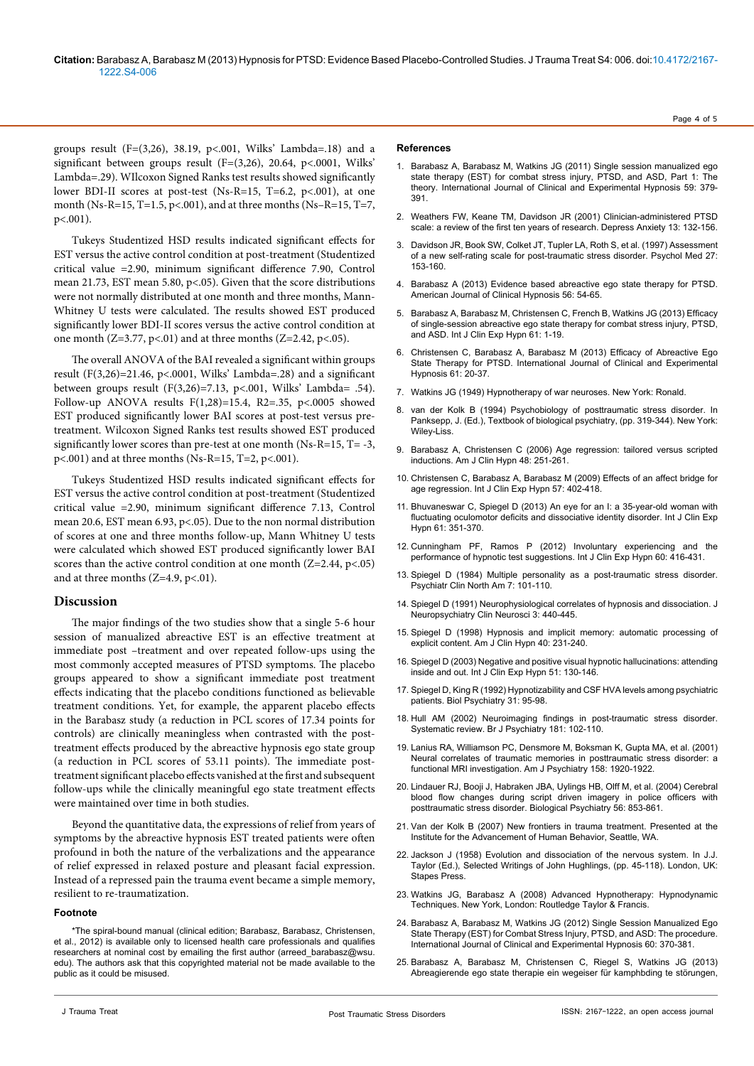groups result ( $F=(3,26)$ , 38.19, p<.001, Wilks' Lambda=.18) and a significant between groups result ( $F=(3,26)$ , 20.64, p<.0001, Wilks' Lambda=.29). WIlcoxon Signed Ranks test results showed significantly lower BDI-II scores at post-test (Ns-R=15, T=6.2, p<.001), at one month (Ns-R=15, T=1.5, p<.001), and at three months (Ns-R=15, T=7,  $p < .001$ ).

Tukeys Studentized HSD results indicated significant effects for EST versus the active control condition at post-treatment (Studentized critical value =2.90, minimum significant difference 7.90, Control mean 21.73, EST mean 5.80, p<.05). Given that the score distributions were not normally distributed at one month and three months, Mann-Whitney U tests were calculated. The results showed EST produced significantly lower BDI-II scores versus the active control condition at one month (Z=3.77, p<.01) and at three months (Z=2.42, p<.05).

The overall ANOVA of the BAI revealed a significant within groups result  $(F(3,26)=21.46, p<.0001, Wilks' Lambda=.28)$  and a significant between groups result (F(3,26)=7.13, p<.001, Wilks' Lambda= .54). Follow-up ANOVA results F(1,28)=15.4, R2=.35, p<.0005 showed EST produced significantly lower BAI scores at post-test versus pretreatment. Wilcoxon Signed Ranks test results showed EST produced significantly lower scores than pre-test at one month (Ns-R=15, T= -3, p<.001) and at three months (Ns-R=15, T=2, p<.001).

Tukeys Studentized HSD results indicated significant effects for EST versus the active control condition at post-treatment (Studentized critical value =2.90, minimum significant difference 7.13, Control mean 20.6, EST mean 6.93, p<.05). Due to the non normal distribution of scores at one and three months follow-up, Mann Whitney U tests were calculated which showed EST produced significantly lower BAI scores than the active control condition at one month  $(Z=2.44, p<0.05)$ and at three months  $(Z=4.9, p<.01)$ .

# **Discussion**

The major findings of the two studies show that a single 5-6 hour session of manualized abreactive EST is an effective treatment at immediate post –treatment and over repeated follow-ups using the most commonly accepted measures of PTSD symptoms. The placebo groups appeared to show a significant immediate post treatment effects indicating that the placebo conditions functioned as believable treatment conditions. Yet, for example, the apparent placebo effects in the Barabasz study (a reduction in PCL scores of 17.34 points for controls) are clinically meaningless when contrasted with the posttreatment effects produced by the abreactive hypnosis ego state group (a reduction in PCL scores of 53.11 points). The immediate posttreatment significant placebo effects vanished at the first and subsequent follow-ups while the clinically meaningful ego state treatment effects were maintained over time in both studies.

Beyond the quantitative data, the expressions of relief from years of symptoms by the abreactive hypnosis EST treated patients were often profound in both the nature of the verbalizations and the appearance of relief expressed in relaxed posture and pleasant facial expression. Instead of a repressed pain the trauma event became a simple memory, resilient to re-traumatization.

### **Footnote**

\*The spiral-bound manual (clinical edition; Barabasz, Barabasz, Christensen, et al., 2012) is available only to licensed health care professionals and qualifies researchers at nominal cost by emailing the first author (arreed barabasz@wsu. edu). The authors ask that this copyrighted material not be made available to the public as it could be misused.

#### **References**

Barabasz A, Barabasz M, Watkins JG (2011) Single session manualized ego state therapy (EST) for combat stress injury, PTSD, and ASD, Part 1: The theory. International Journal of Clinical and Experimental Hypnosis 59: 379- 391.

Page 4 of 5

- 2. [Weathers FW, Keane TM, Davidson JR \(2001\) Clinician-administered PTSD](http://www.ncbi.nlm.nih.gov/pubmed/11387733)  [scale: a review of the first ten years of research. Depress Anxiety 13: 132-156.](http://www.ncbi.nlm.nih.gov/pubmed/11387733)
- 3. [Davidson JR, Book SW, Colket JT, Tupler LA, Roth S, et al. \(1997\) Assessment](http://www.ncbi.nlm.nih.gov/pubmed/9122295)  [of a new self-rating scale for post-traumatic stress disorder. Psychol Med 27:](http://www.ncbi.nlm.nih.gov/pubmed/9122295)  [153-160.](http://www.ncbi.nlm.nih.gov/pubmed/9122295)
- 4. Barabasz A (2013) Evidence based abreactive ego state therapy for PTSD. American Journal of Clinical Hypnosis 56: 54-65.
- 5. [Barabasz A, Barabasz M, Christensen C, French B, Watkins JG \(2013\) Efficacy](http://www.ncbi.nlm.nih.gov/pubmed/23153382)  [of single-session abreactive ego state therapy for combat stress injury, PTSD,](http://www.ncbi.nlm.nih.gov/pubmed/23153382)  [and ASD. Int J Clin Exp Hypn 61: 1-19.](http://www.ncbi.nlm.nih.gov/pubmed/23153382)
- 6. Christensen C, Barabasz A, Barabasz M (2013) Efficacy of Abreactive Ego State Therapy for PTSD. International Journal of Clinical and Experimental Hypnosis 61: 20-37.
- 7. Watkins JG (1949) Hypnotherapy of war neuroses. New York: Ronald.
- 8. van der Kolk B (1994) Psychobiology of posttraumatic stress disorder. In Panksepp, J. (Ed.), Textbook of biological psychiatry, (pp. 319-344). New York: Wiley-Liss.
- 9. [Barabasz A, Christensen C \(2006\) Age regression: tailored versus scripted](http://www.ncbi.nlm.nih.gov/pubmed/16696557)  [inductions. Am J Clin Hypn 48: 251-261.](http://www.ncbi.nlm.nih.gov/pubmed/16696557)
- 10. [Christensen C, Barabasz A, Barabasz M \(2009\) Effects of an affect bridge for](http://www.ncbi.nlm.nih.gov/pubmed/20182998)  [age regression. Int J Clin Exp Hypn 57: 402-418.](http://www.ncbi.nlm.nih.gov/pubmed/20182998)
- 11. [Bhuvaneswar C, Spiegel D \(2013\) An eye for an I: a 35-year-old woman with](http://www.ncbi.nlm.nih.gov/pubmed/23679117)  [fluctuating oculomotor deficits and dissociative identity disorder. Int J Clin Exp](http://www.ncbi.nlm.nih.gov/pubmed/23679117)  [Hypn 61: 351-370.](http://www.ncbi.nlm.nih.gov/pubmed/23679117)
- 12. [Cunningham PF, Ramos P \(2012\) Involuntary experiencing and the](http://www.ncbi.nlm.nih.gov/pubmed/22917106)  [performance of hypnotic test suggestions. Int J Clin Exp Hypn 60: 416-431.](http://www.ncbi.nlm.nih.gov/pubmed/22917106)
- 13. [Spiegel D \(1984\) Multiple personality as a post-traumatic stress disorder.](http://www.ncbi.nlm.nih.gov/pubmed/6718261)  [Psychiatr Clin North Am 7: 101-110.](http://www.ncbi.nlm.nih.gov/pubmed/6718261)
- 14. [Spiegel D \(1991\) Neurophysiological correlates of hypnosis and dissociation. J](http://www.ncbi.nlm.nih.gov/pubmed/1821268)  [Neuropsychiatry Clin Neurosci 3: 440-445.](http://www.ncbi.nlm.nih.gov/pubmed/1821268)
- 15. [Spiegel D \(1998\) Hypnosis and implicit memory: automatic processing of](http://www.ncbi.nlm.nih.gov/pubmed/9470234)  [explicit content. Am J Clin Hypn 40: 231-240.](http://www.ncbi.nlm.nih.gov/pubmed/9470234)
- 16. [Spiegel D \(2003\) Negative and positive visual hypnotic hallucinations: attending](http://www.ncbi.nlm.nih.gov/pubmed/12908748)  [inside and out. Int J Clin Exp Hypn 51: 130-146.](http://www.ncbi.nlm.nih.gov/pubmed/12908748)
- 17. [Spiegel D, King R \(1992\) Hypnotizability and CSF HVA levels among psychiatric](http://www.ncbi.nlm.nih.gov/pubmed/1543801)  [patients. Biol Psychiatry 31: 95-98.](http://www.ncbi.nlm.nih.gov/pubmed/1543801)
- 18. [Hull AM \(2002\) Neuroimaging findings in post-traumatic stress disorder.](http://www.ncbi.nlm.nih.gov/pubmed/12151279)  [Systematic review. Br J Psychiatry 181: 102-110.](http://www.ncbi.nlm.nih.gov/pubmed/12151279)
- 19. [Lanius RA, Williamson PC, Densmore M, Boksman K, Gupta MA, et al. \(2001\)](http://www.ncbi.nlm.nih.gov/pubmed/11691703)  [Neural correlates of traumatic memories in posttraumatic stress disorder: a](http://www.ncbi.nlm.nih.gov/pubmed/11691703)  [functional MRI investigation. Am J Psychiatry 158: 1920-1922.](http://www.ncbi.nlm.nih.gov/pubmed/11691703)
- 20. Lindauer RJ, Booji J, Habraken JBA, Uylings HB, Olff M, et al. (2004) Cerebral blood flow changes during script driven imagery in police officers with posttraumatic stress disorder. Biological Psychiatry 56: 853-861.
- 21. Van der Kolk B (2007) New frontiers in trauma treatment. Presented at the Institute for the Advancement of Human Behavior, Seattle, WA.
- 22. Jackson J (1958) Evolution and dissociation of the nervous system. In J.J. Taylor (Ed.), Selected Writings of John Hughlings, (pp. 45-118). London, UK: Stapes Press.
- 23. Watkins JG, Barabasz A (2008) Advanced Hypnotherapy: Hypnodynamic Techniques. New York, London: Routledge Taylor & Francis.
- 24. Barabasz A, Barabasz M, Watkins JG (2012) Single Session Manualized Ego State Therapy (EST) for Combat Stress Injury, PTSD, and ASD: The procedure. International Journal of Clinical and Experimental Hypnosis 60: 370-381.
- 25. Barabasz A, Barabasz M, Christensen C, Riegel S, Watkins JG (2013) Abreagierende ego state therapie ein wegeiser für kamphbding te störungen,